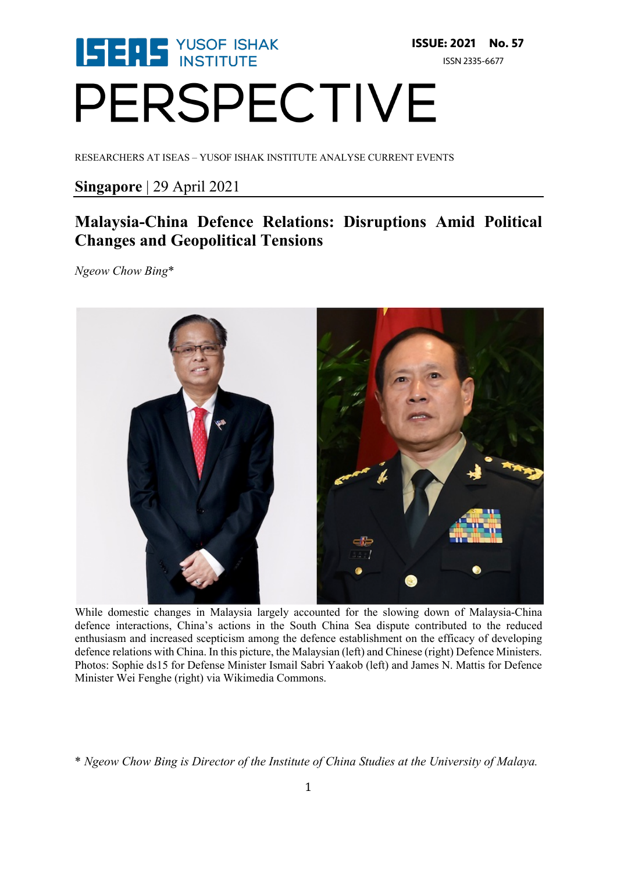# **ISERS** YUSOF ISHAK **ISSUE: 2021 No. 57** ISSN 2335-6677 PERSPECTIVE

RESEARCHERS AT ISEAS – YUSOF ISHAK INSTITUTE ANALYSE CURRENT EVENTS

## **Singapore** | 29 April 2021

# **Malaysia-China Defence Relations: Disruptions Amid Political Changes and Geopolitical Tensions**

*Ngeow Chow Bing*\*



While domestic changes in Malaysia largely accounted for the slowing down of Malaysia-China defence interactions, China's actions in the South China Sea dispute contributed to the reduced enthusiasm and increased scepticism among the defence establishment on the efficacy of developing defence relations with China. In this picture, the Malaysian (left) and Chinese (right) Defence Ministers. Photos: Sophie ds15 for Defense Minister Ismail Sabri Yaakob (left) and James N. Mattis for Defence Minister Wei Fenghe (right) via Wikimedia Commons.

<sup>\*</sup> *Ngeow Chow Bing is Director of the Institute of China Studies at the University of Malaya.*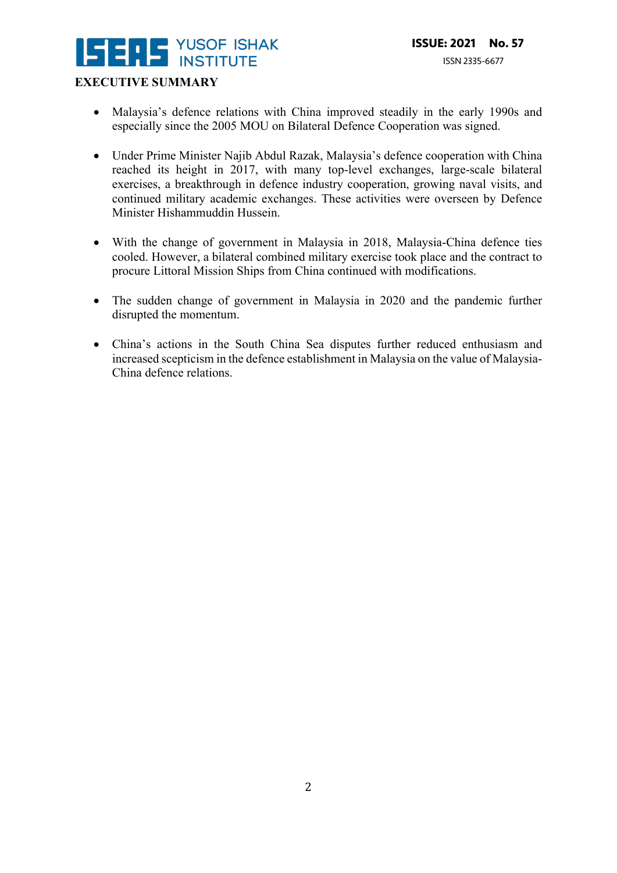# **YUSOF ISHAK**  $\blacksquare$

### **EXECUTIVE SUMMARY**

- Malaysia's defence relations with China improved steadily in the early 1990s and especially since the 2005 MOU on Bilateral Defence Cooperation was signed.
- Under Prime Minister Najib Abdul Razak, Malaysia's defence cooperation with China reached its height in 2017, with many top-level exchanges, large-scale bilateral exercises, a breakthrough in defence industry cooperation, growing naval visits, and continued military academic exchanges. These activities were overseen by Defence Minister Hishammuddin Hussein.
- With the change of government in Malaysia in 2018, Malaysia-China defence ties cooled. However, a bilateral combined military exercise took place and the contract to procure Littoral Mission Ships from China continued with modifications.
- The sudden change of government in Malaysia in 2020 and the pandemic further disrupted the momentum.
- China's actions in the South China Sea disputes further reduced enthusiasm and increased scepticism in the defence establishment in Malaysia on the value of Malaysia-China defence relations.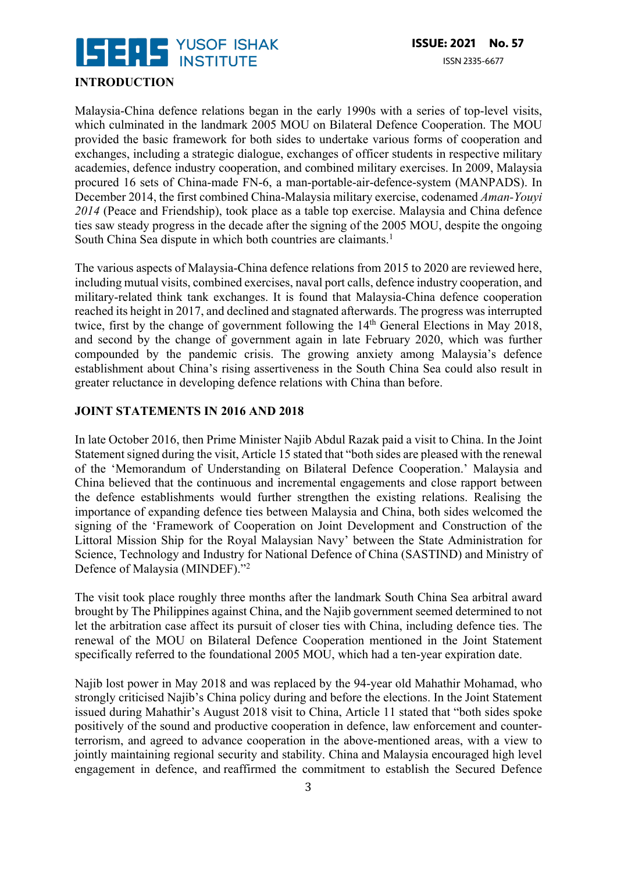

#### **INTRODUCTION**

Malaysia-China defence relations began in the early 1990s with a series of top-level visits, which culminated in the landmark 2005 MOU on Bilateral Defence Cooperation. The MOU provided the basic framework for both sides to undertake various forms of cooperation and exchanges, including a strategic dialogue, exchanges of officer students in respective military academies, defence industry cooperation, and combined military exercises. In 2009, Malaysia procured 16 sets of China-made FN-6, a man-portable-air-defence-system (MANPADS). In December 2014, the first combined China-Malaysia military exercise, codenamed *Aman-Youyi 2014* (Peace and Friendship), took place as a table top exercise. Malaysia and China defence ties saw steady progress in the decade after the signing of the 2005 MOU, despite the ongoing South China Sea dispute in which both countries are claimants. 1

The various aspects of Malaysia-China defence relations from 2015 to 2020 are reviewed here, including mutual visits, combined exercises, naval port calls, defence industry cooperation, and military-related think tank exchanges. It is found that Malaysia-China defence cooperation reached its height in 2017, and declined and stagnated afterwards. The progress was interrupted twice, first by the change of government following the 14<sup>th</sup> General Elections in May 2018, and second by the change of government again in late February 2020, which was further compounded by the pandemic crisis. The growing anxiety among Malaysia's defence establishment about China's rising assertiveness in the South China Sea could also result in greater reluctance in developing defence relations with China than before.

#### **JOINT STATEMENTS IN 2016 AND 2018**

In late October 2016, then Prime Minister Najib Abdul Razak paid a visit to China. In the Joint Statement signed during the visit, Article 15 stated that "both sides are pleased with the renewal of the 'Memorandum of Understanding on Bilateral Defence Cooperation.' Malaysia and China believed that the continuous and incremental engagements and close rapport between the defence establishments would further strengthen the existing relations. Realising the importance of expanding defence ties between Malaysia and China, both sides welcomed the signing of the 'Framework of Cooperation on Joint Development and Construction of the Littoral Mission Ship for the Royal Malaysian Navy' between the State Administration for Science, Technology and Industry for National Defence of China (SASTIND) and Ministry of Defence of Malaysia (MINDEF)."2

The visit took place roughly three months after the landmark South China Sea arbitral award brought by The Philippines against China, and the Najib government seemed determined to not let the arbitration case affect its pursuit of closer ties with China, including defence ties. The renewal of the MOU on Bilateral Defence Cooperation mentioned in the Joint Statement specifically referred to the foundational 2005 MOU, which had a ten-year expiration date.

Najib lost power in May 2018 and was replaced by the 94-year old Mahathir Mohamad, who strongly criticised Najib's China policy during and before the elections. In the Joint Statement issued during Mahathir's August 2018 visit to China, Article 11 stated that "both sides spoke positively of the sound and productive cooperation in defence, law enforcement and counterterrorism, and agreed to advance cooperation in the above-mentioned areas, with a view to jointly maintaining regional security and stability. China and Malaysia encouraged high level engagement in defence, and reaffirmed the commitment to establish the Secured Defence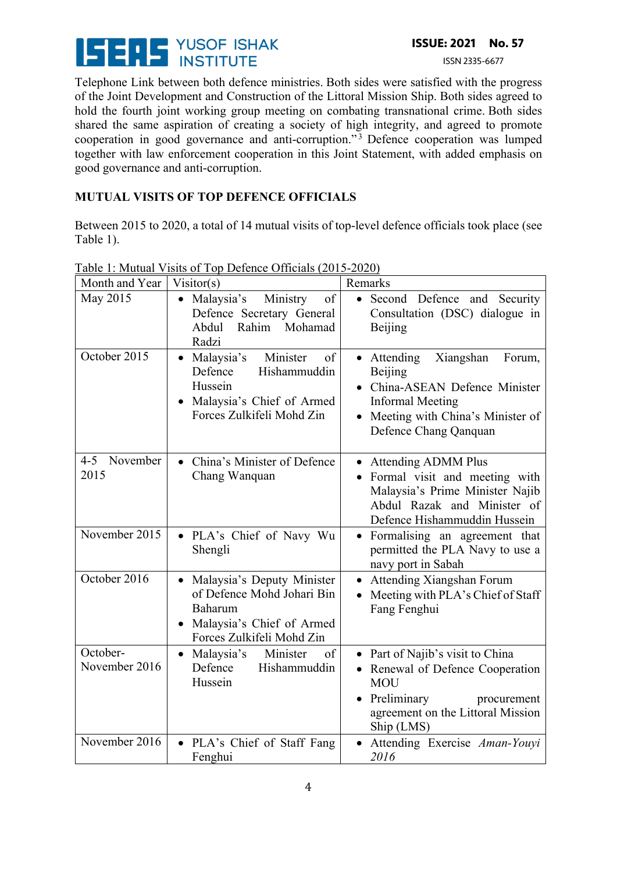

ISSN 2335-6677

Telephone Link between both defence ministries. Both sides were satisfied with the progress of the Joint Development and Construction of the Littoral Mission Ship. Both sides agreed to hold the fourth joint working group meeting on combating transnational crime. Both sides shared the same aspiration of creating a society of high integrity, and agreed to promote cooperation in good governance and anti-corruption."<sup>3</sup> Defence cooperation was lumped together with law enforcement cooperation in this Joint Statement, with added emphasis on good governance and anti-corruption.

### **MUTUAL VISITS OF TOP DEFENCE OFFICIALS**

Between 2015 to 2020, a total of 14 mutual visits of top-level defence officials took place (see Table 1).

| Month and Year              | Visitor(s)                                                                                                                     | Remarks                                                                                                                                                               |
|-----------------------------|--------------------------------------------------------------------------------------------------------------------------------|-----------------------------------------------------------------------------------------------------------------------------------------------------------------------|
| May 2015                    | • Malaysia's<br>Ministry<br>of<br>Defence Secretary General<br>Rahim Mohamad<br>Abdul<br>Radzi                                 | • Second Defence and Security<br>Consultation (DSC) dialogue in<br>Beijing                                                                                            |
| October 2015                | Minister<br>• Malaysia's<br>of<br>Defence<br>Hishammuddin<br>Hussein<br>Malaysia's Chief of Armed<br>Forces Zulkifeli Mohd Zin | Xiangshan<br>• Attending<br>Forum,<br>Beijing<br>China-ASEAN Defence Minister<br>Informal Meeting<br>Meeting with China's Minister of<br>Defence Chang Qanquan        |
| November<br>$4 - 5$<br>2015 | China's Minister of Defence<br>$\bullet$<br>Chang Wanquan                                                                      | • Attending ADMM Plus<br>• Formal visit and meeting with<br>Malaysia's Prime Minister Najib<br>Abdul Razak and Minister of<br>Defence Hishammuddin Hussein            |
| November 2015               | · PLA's Chief of Navy Wu<br>Shengli                                                                                            | • Formalising an agreement that<br>permitted the PLA Navy to use a<br>navy port in Sabah                                                                              |
| October 2016                | Malaysia's Deputy Minister<br>of Defence Mohd Johari Bin<br>Baharum<br>Malaysia's Chief of Armed<br>Forces Zulkifeli Mohd Zin  | Attending Xiangshan Forum<br>Meeting with PLA's Chief of Staff<br>Fang Fenghui                                                                                        |
| October-<br>November 2016   | • Malaysia's<br>Minister<br>of<br>Defence<br>Hishammuddin<br>Hussein                                                           | • Part of Najib's visit to China<br>• Renewal of Defence Cooperation<br><b>MOU</b><br>• Preliminary<br>procurement<br>agreement on the Littoral Mission<br>Ship (LMS) |
| November 2016               | • PLA's Chief of Staff Fang<br>Fenghui                                                                                         | Attending Exercise Aman-Youyi<br>2016                                                                                                                                 |

Table 1: Mutual Visits of Top Defence Officials (2015-2020)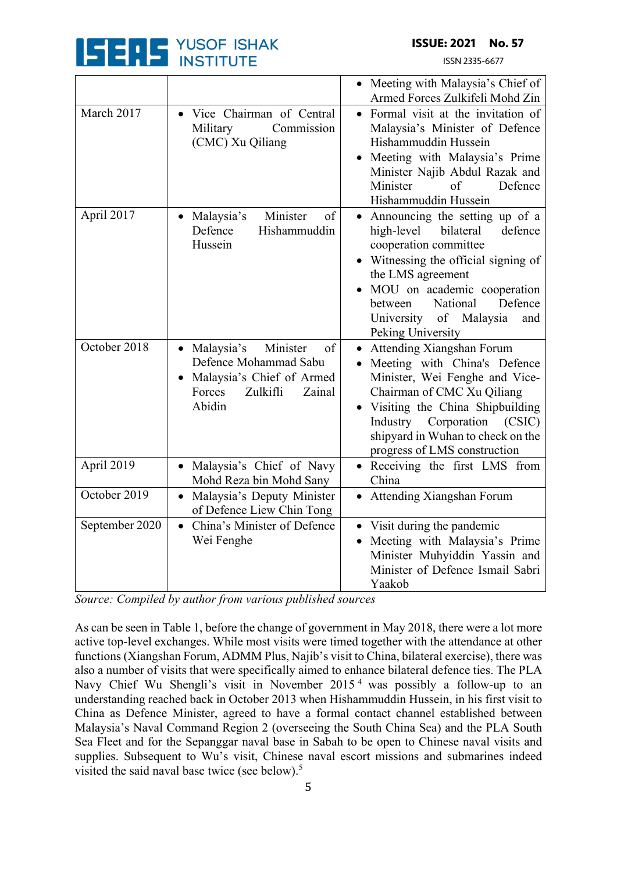

ISSN 2335-6677

|                |                                                                                                                                | • Meeting with Malaysia's Chief of<br>Armed Forces Zulkifeli Mohd Zin                                                                                                                                                                                                                  |
|----------------|--------------------------------------------------------------------------------------------------------------------------------|----------------------------------------------------------------------------------------------------------------------------------------------------------------------------------------------------------------------------------------------------------------------------------------|
| March 2017     | · Vice Chairman of Central<br>Commission<br>Military<br>(CMC) Xu Qiliang                                                       | • Formal visit at the invitation of<br>Malaysia's Minister of Defence<br>Hishammuddin Hussein<br>Meeting with Malaysia's Prime<br>Minister Najib Abdul Razak and<br>Minister<br>of<br>Defence<br>Hishammuddin Hussein                                                                  |
| April 2017     | Minister<br>Malaysia's<br>of<br>$\bullet$<br>Defence<br>Hishammuddin<br>Hussein                                                | • Announcing the setting up of a<br>defence<br>high-level<br>bilateral<br>cooperation committee<br>• Witnessing the official signing of<br>the LMS agreement<br>MOU on academic cooperation<br>National<br>Defence<br>between<br>of Malaysia<br>University<br>and<br>Peking University |
| October 2018   | • Malaysia's<br>Minister<br>of<br>Defence Mohammad Sabu<br>Malaysia's Chief of Armed<br>Zulkifli<br>Zainal<br>Forces<br>Abidin | Attending Xiangshan Forum<br>• Meeting with China's Defence<br>Minister, Wei Fenghe and Vice-<br>Chairman of CMC Xu Qiliang<br>Visiting the China Shipbuilding<br>Industry<br>Corporation<br>(CSIC)<br>shipyard in Wuhan to check on the<br>progress of LMS construction               |
| April 2019     | Malaysia's Chief of Navy<br>$\bullet$<br>Mohd Reza bin Mohd Sany                                                               | • Receiving the first LMS from<br>China                                                                                                                                                                                                                                                |
| October 2019   | Malaysia's Deputy Minister<br>$\bullet$<br>of Defence Liew Chin Tong                                                           | • Attending Xiangshan Forum                                                                                                                                                                                                                                                            |
| September 2020 | China's Minister of Defence<br>$\bullet$<br>Wei Fenghe                                                                         | Visit during the pandemic<br>$\bullet$<br>Meeting with Malaysia's Prime<br>Minister Muhyiddin Yassin and<br>Minister of Defence Ismail Sabri<br>Yaakob                                                                                                                                 |

*Source: Compiled by author from various published sources*

As can be seen in Table 1, before the change of government in May 2018, there were a lot more active top-level exchanges. While most visits were timed together with the attendance at other functions (Xiangshan Forum, ADMM Plus, Najib's visit to China, bilateral exercise), there was also a number of visits that were specifically aimed to enhance bilateral defence ties. The PLA Navy Chief Wu Shengli's visit in November 2015 <sup>4</sup> was possibly a follow-up to an understanding reached back in October 2013 when Hishammuddin Hussein, in his first visit to China as Defence Minister, agreed to have a formal contact channel established between Malaysia's Naval Command Region 2 (overseeing the South China Sea) and the PLA South Sea Fleet and for the Sepanggar naval base in Sabah to be open to Chinese naval visits and supplies. Subsequent to Wu's visit, Chinese naval escort missions and submarines indeed visited the said naval base twice (see below). 5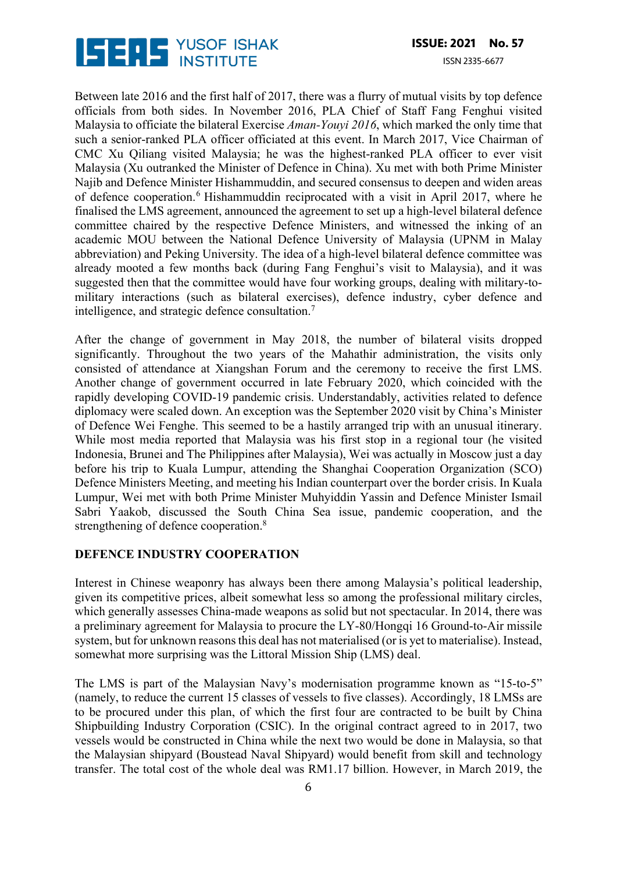

Between late 2016 and the first half of 2017, there was a flurry of mutual visits by top defence officials from both sides. In November 2016, PLA Chief of Staff Fang Fenghui visited Malaysia to officiate the bilateral Exercise *Aman-Youyi 2016*, which marked the only time that such a senior-ranked PLA officer officiated at this event. In March 2017, Vice Chairman of CMC Xu Qiliang visited Malaysia; he was the highest-ranked PLA officer to ever visit Malaysia (Xu outranked the Minister of Defence in China). Xu met with both Prime Minister Najib and Defence Minister Hishammuddin, and secured consensus to deepen and widen areas of defence cooperation.6 Hishammuddin reciprocated with a visit in April 2017, where he finalised the LMS agreement, announced the agreement to set up a high-level bilateral defence committee chaired by the respective Defence Ministers, and witnessed the inking of an academic MOU between the National Defence University of Malaysia (UPNM in Malay abbreviation) and Peking University. The idea of a high-level bilateral defence committee was already mooted a few months back (during Fang Fenghui's visit to Malaysia), and it was suggested then that the committee would have four working groups, dealing with military-tomilitary interactions (such as bilateral exercises), defence industry, cyber defence and intelligence, and strategic defence consultation.7

After the change of government in May 2018, the number of bilateral visits dropped significantly. Throughout the two years of the Mahathir administration, the visits only consisted of attendance at Xiangshan Forum and the ceremony to receive the first LMS. Another change of government occurred in late February 2020, which coincided with the rapidly developing COVID-19 pandemic crisis. Understandably, activities related to defence diplomacy were scaled down. An exception was the September 2020 visit by China's Minister of Defence Wei Fenghe. This seemed to be a hastily arranged trip with an unusual itinerary. While most media reported that Malaysia was his first stop in a regional tour (he visited Indonesia, Brunei and The Philippines after Malaysia), Wei was actually in Moscow just a day before his trip to Kuala Lumpur, attending the Shanghai Cooperation Organization (SCO) Defence Ministers Meeting, and meeting his Indian counterpart over the border crisis. In Kuala Lumpur, Wei met with both Prime Minister Muhyiddin Yassin and Defence Minister Ismail Sabri Yaakob, discussed the South China Sea issue, pandemic cooperation, and the strengthening of defence cooperation.<sup>8</sup>

#### **DEFENCE INDUSTRY COOPERATION**

Interest in Chinese weaponry has always been there among Malaysia's political leadership, given its competitive prices, albeit somewhat less so among the professional military circles, which generally assesses China-made weapons as solid but not spectacular. In 2014, there was a preliminary agreement for Malaysia to procure the LY-80/Hongqi 16 Ground-to-Air missile system, but for unknown reasons this deal has not materialised (or is yet to materialise). Instead, somewhat more surprising was the Littoral Mission Ship (LMS) deal.

The LMS is part of the Malaysian Navy's modernisation programme known as "15-to-5" (namely, to reduce the current 15 classes of vessels to five classes). Accordingly, 18 LMSs are to be procured under this plan, of which the first four are contracted to be built by China Shipbuilding Industry Corporation (CSIC). In the original contract agreed to in 2017, two vessels would be constructed in China while the next two would be done in Malaysia, so that the Malaysian shipyard (Boustead Naval Shipyard) would benefit from skill and technology transfer. The total cost of the whole deal was RM1.17 billion. However, in March 2019, the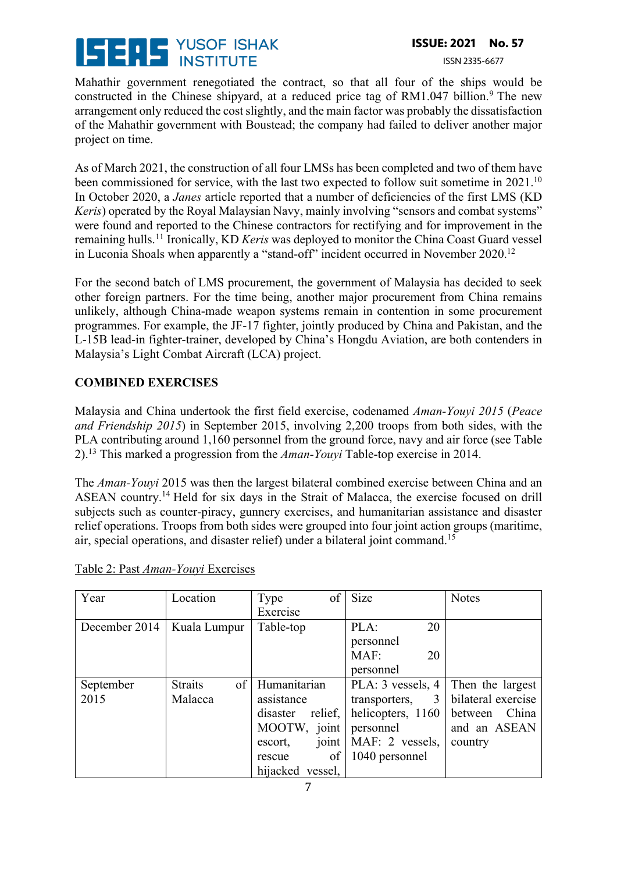# YUSOF ISHAK Li du

### **ISSUE: 2021 No. 57**

#### ISSN 2335-6677

Mahathir government renegotiated the contract, so that all four of the ships would be constructed in the Chinese shipyard, at a reduced price tag of  $RM1.047$  billion.<sup>9</sup> The new arrangement only reduced the cost slightly, and the main factor was probably the dissatisfaction of the Mahathir government with Boustead; the company had failed to deliver another major project on time.

As of March 2021, the construction of all four LMSs has been completed and two of them have been commissioned for service, with the last two expected to follow suit sometime in 2021.<sup>10</sup> In October 2020, a *Janes* article reported that a number of deficiencies of the first LMS (KD *Keris*) operated by the Royal Malaysian Navy, mainly involving "sensors and combat systems" were found and reported to the Chinese contractors for rectifying and for improvement in the remaining hulls.11 Ironically, KD *Keris* was deployed to monitor the China Coast Guard vessel in Luconia Shoals when apparently a "stand-off" incident occurred in November 2020.<sup>12</sup>

For the second batch of LMS procurement, the government of Malaysia has decided to seek other foreign partners. For the time being, another major procurement from China remains unlikely, although China-made weapon systems remain in contention in some procurement programmes. For example, the JF-17 fighter, jointly produced by China and Pakistan, and the L-15B lead-in fighter-trainer, developed by China's Hongdu Aviation, are both contenders in Malaysia's Light Combat Aircraft (LCA) project.

### **COMBINED EXERCISES**

Malaysia and China undertook the first field exercise, codenamed *Aman-Youyi 2015* (*Peace and Friendship 2015*) in September 2015, involving 2,200 troops from both sides, with the PLA contributing around 1,160 personnel from the ground force, navy and air force (see Table 2).13 This marked a progression from the *Aman-Youyi* Table-top exercise in 2014.

The *Aman-Youyi* 2015 was then the largest bilateral combined exercise between China and an ASEAN country.14 Held for six days in the Strait of Malacca, the exercise focused on drill subjects such as counter-piracy, gunnery exercises, and humanitarian assistance and disaster relief operations. Troops from both sides were grouped into four joint action groups (maritime, air, special operations, and disaster relief) under a bilateral joint command.15

| Year          | Location                     | of l<br>Type        | Size              | <b>Notes</b>       |
|---------------|------------------------------|---------------------|-------------------|--------------------|
|               |                              | Exercise            |                   |                    |
| December 2014 | Kuala Lumpur                 | Table-top           | PLA:<br>20        |                    |
|               |                              |                     | personnel         |                    |
|               |                              |                     | MAF:<br>20        |                    |
|               |                              |                     | personnel         |                    |
| September     | $\sigma$ f<br><b>Straits</b> | Humanitarian        | PLA: 3 vessels, 4 | Then the largest   |
| 2015          | Malacca                      | assistance          | transporters, 3   | bilateral exercise |
|               |                              | relief,<br>disaster | helicopters, 1160 | China<br>between   |
|               |                              | MOOTW, joint        | personnel         | and an ASEAN       |
|               |                              | joint<br>escort,    | MAF: 2 vessels,   | country            |
|               |                              | of<br>rescue        | 1040 personnel    |                    |
|               |                              | hijacked vessel,    |                   |                    |

Table 2: Past *Aman-Youyi* Exercises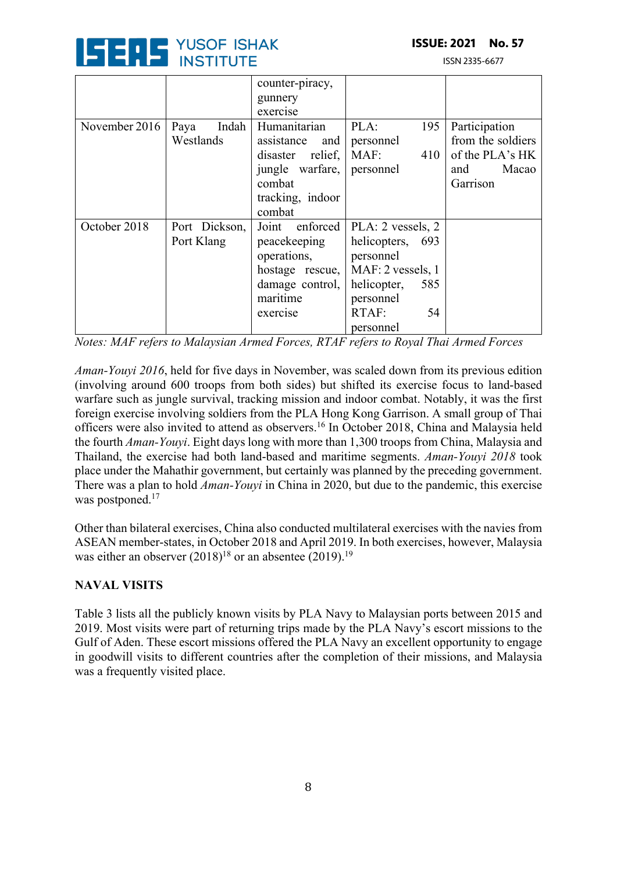

ISSN 2335-6677

|               |                            | counter-piracy,                                                               |                                                      |                                                                       |
|---------------|----------------------------|-------------------------------------------------------------------------------|------------------------------------------------------|-----------------------------------------------------------------------|
|               |                            | gunnery                                                                       |                                                      |                                                                       |
|               |                            | exercise                                                                      |                                                      |                                                                       |
| November 2016 | Indah<br>Paya<br>Westlands | Humanitarian<br>assistance<br>and  <br>relief,<br>disaster<br>jungle warfare, | 195<br>PLA:<br>personnel<br>MAF:<br>410<br>personnel | Participation<br>from the soldiers<br>of the PLA's HK<br>Macao<br>and |
|               |                            | combat<br>tracking, indoor                                                    |                                                      | Garrison                                                              |
|               |                            | combat                                                                        |                                                      |                                                                       |
| October 2018  | Port Dickson,              | Joint<br>enforced                                                             | PLA: 2 vessels, 2                                    |                                                                       |
|               | Port Klang                 | peacekeeping                                                                  | helicopters,<br>693                                  |                                                                       |
|               |                            | operations,                                                                   | personnel                                            |                                                                       |
|               |                            | hostage rescue,                                                               | MAF: 2 vessels, 1                                    |                                                                       |
|               |                            | damage control,                                                               | helicopter,<br>585                                   |                                                                       |
|               |                            | maritime                                                                      | personnel                                            |                                                                       |
|               |                            | exercise                                                                      | RTAF:<br>54                                          |                                                                       |
|               |                            |                                                                               | personnel                                            |                                                                       |

*Notes: MAF refers to Malaysian Armed Forces, RTAF refers to Royal Thai Armed Forces* 

*Aman-Youyi 2016*, held for five days in November, was scaled down from its previous edition (involving around 600 troops from both sides) but shifted its exercise focus to land-based warfare such as jungle survival, tracking mission and indoor combat. Notably, it was the first foreign exercise involving soldiers from the PLA Hong Kong Garrison. A small group of Thai officers were also invited to attend as observers.16 In October 2018, China and Malaysia held the fourth *Aman-Youyi*. Eight days long with more than 1,300 troops from China, Malaysia and Thailand, the exercise had both land-based and maritime segments. *Aman-Youyi 2018* took place under the Mahathir government, but certainly was planned by the preceding government. There was a plan to hold *Aman-Youyi* in China in 2020, but due to the pandemic, this exercise was postponed.<sup>17</sup>

Other than bilateral exercises, China also conducted multilateral exercises with the navies from ASEAN member-states, in October 2018 and April 2019. In both exercises, however, Malaysia was either an observer  $(2018)^{18}$  or an absentee  $(2019)^{19}$ 

### **NAVAL VISITS**

Table 3 lists all the publicly known visits by PLA Navy to Malaysian ports between 2015 and 2019. Most visits were part of returning trips made by the PLA Navy's escort missions to the Gulf of Aden. These escort missions offered the PLA Navy an excellent opportunity to engage in goodwill visits to different countries after the completion of their missions, and Malaysia was a frequently visited place.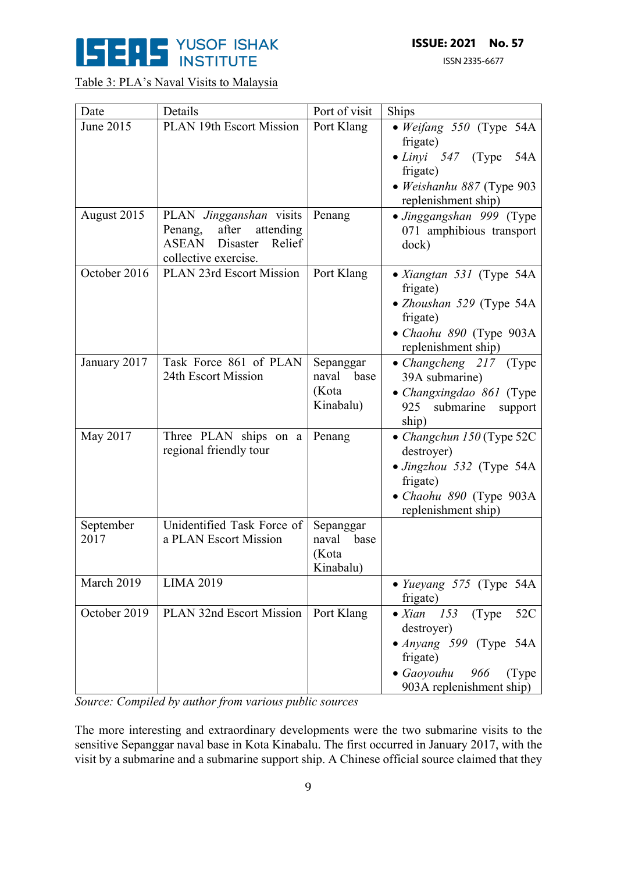

### Table 3: PLA's Naval Visits to Malaysia

| Date              | Details                                                                                                                | Port of visit                                    | <b>Ships</b>                                                                                                                                                  |
|-------------------|------------------------------------------------------------------------------------------------------------------------|--------------------------------------------------|---------------------------------------------------------------------------------------------------------------------------------------------------------------|
| June 2015         | <b>PLAN 19th Escort Mission</b>                                                                                        | Port Klang                                       | • Weifang 550 (Type 54A<br>frigate)                                                                                                                           |
|                   |                                                                                                                        |                                                  | $\bullet$ <i>Linyi</i> 547 (Type<br>54A<br>frigate)                                                                                                           |
|                   |                                                                                                                        |                                                  | · Weishanhu 887 (Type 903<br>replenishment ship)                                                                                                              |
| August 2015       | PLAN Jingganshan visits<br>after<br>attending<br>Penang,<br><b>ASEAN</b><br>Disaster<br>Relief<br>collective exercise. | Penang                                           | • Jinggangshan 999 (Type<br>071 amphibious transport<br>dock)                                                                                                 |
| October 2016      | PLAN 23rd Escort Mission                                                                                               | Port Klang                                       | • Xiangtan 531 (Type 54A<br>frigate)<br>• Zhoushan 529 (Type 54A<br>frigate)<br>• Chaohu 890 (Type 903A<br>replenishment ship)                                |
| January 2017      | Task Force 861 of PLAN<br>24th Escort Mission                                                                          | Sepanggar<br>naval<br>base<br>(Kota<br>Kinabalu) | • Changcheng 217 (Type<br>39A submarine)<br>• Changxingdao 861 (Type<br>submarine<br>925<br>support<br>ship)                                                  |
| May 2017          | Three PLAN ships on a<br>regional friendly tour                                                                        | Penang                                           | • Changchun 150 (Type 52C<br>destroyer)<br>· Jingzhou 532 (Type 54A<br>frigate)<br>• Chaohu 890 (Type 903A<br>replenishment ship)                             |
| September<br>2017 | Unidentified Task Force of<br>a PLAN Escort Mission                                                                    | Sepanggar<br>naval<br>base<br>(Kota<br>Kinabalu) |                                                                                                                                                               |
| March 2019        | <b>LIMA 2019</b>                                                                                                       |                                                  | • Yueyang 575 (Type 54A<br>frigate)                                                                                                                           |
| October 2019      | PLAN 32nd Escort Mission                                                                                               | Port Klang                                       | 153<br>52C<br>$\bullet$ Xian<br>(Type)<br>destroyer)<br>• Anyang 599 (Type 54A<br>frigate)<br>$\bullet$ Gaoyouhu<br>966<br>(Type)<br>903A replenishment ship) |

*Source: Compiled by author from various public sources*

The more interesting and extraordinary developments were the two submarine visits to the sensitive Sepanggar naval base in Kota Kinabalu. The first occurred in January 2017, with the visit by a submarine and a submarine support ship. A Chinese official source claimed that they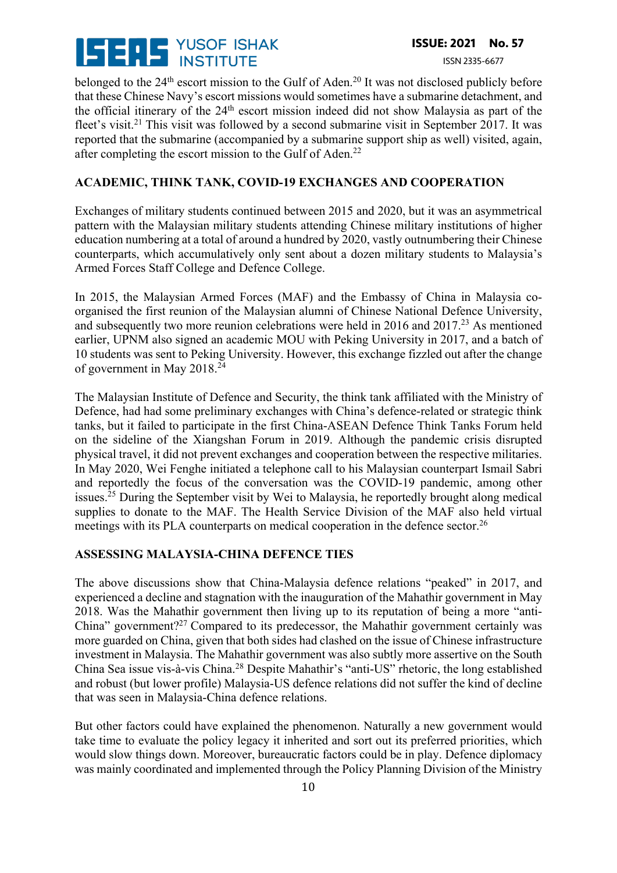

belonged to the 24<sup>th</sup> escort mission to the Gulf of Aden.<sup>20</sup> It was not disclosed publicly before that these Chinese Navy's escort missions would sometimes have a submarine detachment, and the official itinerary of the 24th escort mission indeed did not show Malaysia as part of the fleet's visit.<sup>21</sup> This visit was followed by a second submarine visit in September 2017. It was reported that the submarine (accompanied by a submarine support ship as well) visited, again, after completing the escort mission to the Gulf of Aden.<sup>22</sup>

#### **ACADEMIC, THINK TANK, COVID-19 EXCHANGES AND COOPERATION**

Exchanges of military students continued between 2015 and 2020, but it was an asymmetrical pattern with the Malaysian military students attending Chinese military institutions of higher education numbering at a total of around a hundred by 2020, vastly outnumbering their Chinese counterparts, which accumulatively only sent about a dozen military students to Malaysia's Armed Forces Staff College and Defence College.

In 2015, the Malaysian Armed Forces (MAF) and the Embassy of China in Malaysia coorganised the first reunion of the Malaysian alumni of Chinese National Defence University, and subsequently two more reunion celebrations were held in 2016 and 2017.23 As mentioned earlier, UPNM also signed an academic MOU with Peking University in 2017, and a batch of 10 students was sent to Peking University. However, this exchange fizzled out after the change of government in May 2018.24

The Malaysian Institute of Defence and Security, the think tank affiliated with the Ministry of Defence, had had some preliminary exchanges with China's defence-related or strategic think tanks, but it failed to participate in the first China-ASEAN Defence Think Tanks Forum held on the sideline of the Xiangshan Forum in 2019. Although the pandemic crisis disrupted physical travel, it did not prevent exchanges and cooperation between the respective militaries. In May 2020, Wei Fenghe initiated a telephone call to his Malaysian counterpart Ismail Sabri and reportedly the focus of the conversation was the COVID-19 pandemic, among other issues.<sup>25</sup> During the September visit by Wei to Malaysia, he reportedly brought along medical supplies to donate to the MAF. The Health Service Division of the MAF also held virtual meetings with its PLA counterparts on medical cooperation in the defence sector.<sup>26</sup>

#### **ASSESSING MALAYSIA-CHINA DEFENCE TIES**

The above discussions show that China-Malaysia defence relations "peaked" in 2017, and experienced a decline and stagnation with the inauguration of the Mahathir government in May 2018. Was the Mahathir government then living up to its reputation of being a more "anti-China" government?<sup>27</sup> Compared to its predecessor, the Mahathir government certainly was more guarded on China, given that both sides had clashed on the issue of Chinese infrastructure investment in Malaysia. The Mahathir government was also subtly more assertive on the South China Sea issue vis-à-vis China.28 Despite Mahathir's "anti-US" rhetoric, the long established and robust (but lower profile) Malaysia-US defence relations did not suffer the kind of decline that was seen in Malaysia-China defence relations.

But other factors could have explained the phenomenon. Naturally a new government would take time to evaluate the policy legacy it inherited and sort out its preferred priorities, which would slow things down. Moreover, bureaucratic factors could be in play. Defence diplomacy was mainly coordinated and implemented through the Policy Planning Division of the Ministry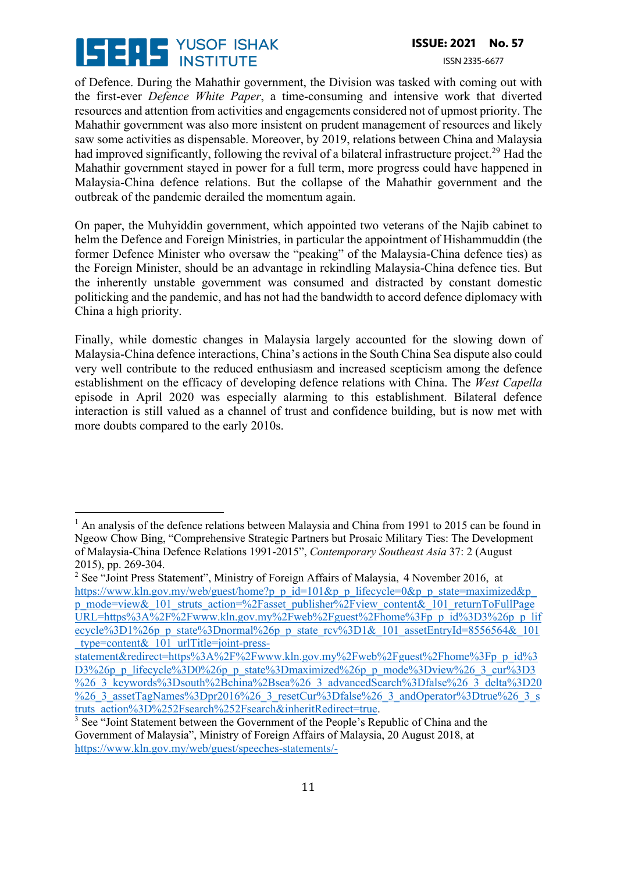

ISSN 2335-6677

of Defence. During the Mahathir government, the Division was tasked with coming out with the first-ever *Defence White Paper*, a time-consuming and intensive work that diverted resources and attention from activities and engagements considered not of upmost priority. The Mahathir government was also more insistent on prudent management of resources and likely saw some activities as dispensable. Moreover, by 2019, relations between China and Malaysia had improved significantly, following the revival of a bilateral infrastructure project.<sup>29</sup> Had the Mahathir government stayed in power for a full term, more progress could have happened in Malaysia-China defence relations. But the collapse of the Mahathir government and the outbreak of the pandemic derailed the momentum again.

On paper, the Muhyiddin government, which appointed two veterans of the Najib cabinet to helm the Defence and Foreign Ministries, in particular the appointment of Hishammuddin (the former Defence Minister who oversaw the "peaking" of the Malaysia-China defence ties) as the Foreign Minister, should be an advantage in rekindling Malaysia-China defence ties. But the inherently unstable government was consumed and distracted by constant domestic politicking and the pandemic, and has not had the bandwidth to accord defence diplomacy with China a high priority.

Finally, while domestic changes in Malaysia largely accounted for the slowing down of Malaysia-China defence interactions, China's actions in the South China Sea dispute also could very well contribute to the reduced enthusiasm and increased scepticism among the defence establishment on the efficacy of developing defence relations with China. The *West Capella*  episode in April 2020 was especially alarming to this establishment. Bilateral defence interaction is still valued as a channel of trust and confidence building, but is now met with more doubts compared to the early 2010s.

<sup>&</sup>lt;sup>1</sup> An analysis of the defence relations between Malaysia and China from 1991 to 2015 can be found in Ngeow Chow Bing, "Comprehensive Strategic Partners but Prosaic Military Ties: The Development of Malaysia-China Defence Relations 1991-2015", *Contemporary Southeast Asia* 37: 2 (August 2015), pp. 269-304.

<sup>&</sup>lt;sup>2</sup> See "Joint Press Statement", Ministry of Foreign Affairs of Malaysia, 4 November 2016, at https://www.kln.gov.my/web/guest/home?p\_p\_id=101&p\_p\_lifecycle=0&p\_p\_state=maximized&p\_ p\_mode=view&\_101\_struts\_action=%2Fasset\_publisher%2Fview\_content&\_101\_returnToFullPage URL=https%3A%2F%2Fwww.kln.gov.my%2Fweb%2Fguest%2Fhome%3Fp\_p\_id%3D3%26p\_p\_lif ecycle% $3D1\%26p$  p\_state%3Dnormal%26p\_p\_state\_rcv%3D1&\_101\_assetEntryId=8556564&\_101 \_type=content&\_101\_urlTitle=joint-press-

statement&redirect=https%3A%2F%2Fwww.kln.gov.my%2Fweb%2Fguest%2Fhome%3Fp\_p\_id%3 D3%26p\_p\_lifecycle%3D0%26p\_p\_state%3Dmaximized%26p\_p\_mode%3Dview%26\_3\_cur%3D3 %26\_3\_keywords%3Dsouth%2Bchina%2Bsea%26\_3\_advancedSearch%3Dfalse%26\_3\_delta%3D20 %26\_3\_assetTagNames%3Dpr2016%26\_3\_resetCur%3Dfalse%26\_3\_andOperator%3Dtrue%26\_3\_s truts\_action%3D%252Fsearch%252Fsearch&inheritRedirect=true. 3 See "Joint Statement between the Government of the People's Republic of China and the

Government of Malaysia", Ministry of Foreign Affairs of Malaysia, 20 August 2018, at https://www.kln.gov.my/web/guest/speeches-statements/-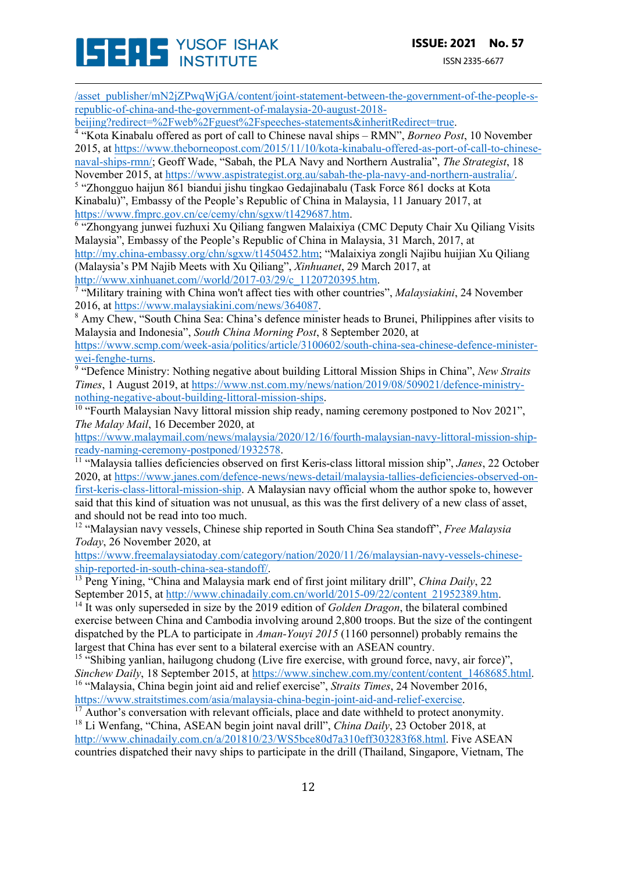/asset\_publisher/mN2jZPwqWjGA/content/joint-statement-between-the-government-of-the-people-srepublic-of-china-and-the-government-of-malaysia-20-august-2018-

 $\frac{4}{4}$  "Kota Kinabalu offered as port of call to Chinese naval ships – RMN", *Borneo Post*, 10 November 2015, at https://www.theborneopost.com/2015/11/10/kota-kinabalu-offered-as-port-of-call-to-chinesenaval-ships-rmn/; Geoff Wade, "Sabah, the PLA Navy and Northern Australia", *The Strategist*, 18

November 2015, at https://www.aspistrategist.org.au/sabah-the-pla-navy-and-northern-australia/. 5 "Zhongguo haijun 861 biandui jishu tingkao Gedajinabalu (Task Force 861 docks at Kota Kinabalu)", Embassy of the People's Republic of China in Malaysia, 11 January 2017, at https://www.fmprc.gov.cn/ce/cemy/chn/sgxw/t1429687.htm.

<sup>6</sup> "Zhongyang junwei fuzhuxi Xu Qiliang fangwen Malaixiya (CMC Deputy Chair Xu Qiliang Visits Malaysia", Embassy of the People's Republic of China in Malaysia, 31 March, 2017, at

http://my.china-embassy.org/chn/sgxw/t1450452.htm; "Malaixiya zongli Najibu huijian Xu Qiliang (Malaysia's PM Najib Meets with Xu Qiliang", *Xinhuanet*, 29 March 2017, at

http://www.xinhuanet.com//world/2017-03/29/c\_1120720395.htm. 7 "Military training with China won't affect ties with other countries", *Malaysiakini*, 24 November 2016, at https://www.malaysiakini.com/news/364087.<br><sup>8</sup> Amy Chew, "South China Sea: China's defence minister heads to Brunei, Philippines after visits to

Malaysia and Indonesia", *South China Morning Post*, 8 September 2020, at

https://www.scmp.com/week-asia/politics/article/3100602/south-china-sea-chinese-defence-ministerwei-fenghe-turns.<br><sup>9</sup> "Defence Ministry: Nothing negative about building Littoral Mission Ships in China", *New Straits* 

*Times*, 1 August 2019, at https://www.nst.com.my/news/nation/2019/08/509021/defence-ministry-nothing-negative-about-building-littoral-mission-ships.

 $\frac{10}{10}$  "Fourth Malaysian Navy littoral mission ship ready, naming ceremony postponed to Nov 2021", *The Malay Mail*, 16 December 2020, at

https://www.malaymail.com/news/malaysia/2020/12/16/fourth-malaysian-navy-littoral-mission-shipready-naming-ceremony-postponed/1932578. 11 "Malaysia tallies deficiencies observed on first Keris-class littoral mission ship", *Janes*, 22 October

2020, at https://www.janes.com/defence-news/news-detail/malaysia-tallies-deficiencies-observed-onfirst-keris-class-littoral-mission-ship. A Malaysian navy official whom the author spoke to, however said that this kind of situation was not unusual, as this was the first delivery of a new class of asset, and should not be read into too much.

<sup>12</sup> "Malaysian navy vessels, Chinese ship reported in South China Sea standoff", *Free Malaysia Today*, 26 November 2020, at

https://www.freemalaysiatoday.com/category/nation/2020/11/26/malaysian-navy-vessels-chineseship-reported-in-south-china-sea-standoff/. 13 Peng Yining, "China and Malaysia mark end of first joint military drill", *China Daily*, 22

September 2015, at http://www.chinadaily.com.cn/world/2015-09/22/content\_21952389.htm. 14 It was only superseded in size by the 2019 edition of *Golden Dragon*, the bilateral combined

exercise between China and Cambodia involving around 2,800 troops. But the size of the contingent dispatched by the PLA to participate in *Aman-Youyi 2015* (1160 personnel) probably remains the largest that China has ever sent to a bilateral exercise with an ASEAN country.

<sup>15</sup> "Shibing yanlian, hailugong chudong (Live fire exercise, with ground force, navy, air force)", *Sinchew Daily*, 18 September 2015, at https://www.sinchew.com.my/content/content\_1468685.html. 16 "Malaysia, China begin joint aid and relief exercise", *Straits Times*, 24 November 2016,

https://www.straitstimes.com/asia/malaysia-china-begin-joint-aid-and-relief-exercise.<br><sup>17</sup> Author's conversation with relevant officials, place and date withheld to protect anonymity. <sup>18</sup> Li Wenfang, "China, ASEAN begin joint naval drill", *China Daily*, 23 October 2018, at http://www.chinadaily.com.cn/a/201810/23/WS5bce80d7a310eff303283f68.html. Five ASEAN countries dispatched their navy ships to participate in the drill (Thailand, Singapore, Vietnam, The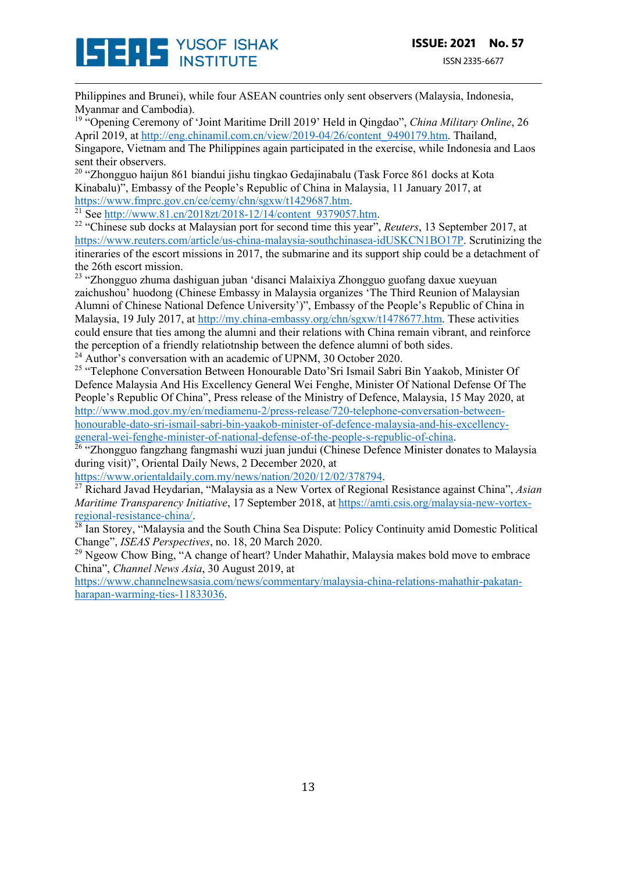

Philippines and Brunei), while four ASEAN countries only sent observers (Malaysia, Indonesia, Myanmar and Cambodia).

<sup>19</sup> "Opening Ceremony of 'Joint Maritime Drill 2019' Held in Qingdao", *China Military Online*, 26 April 2019, at http://eng.chinamil.com.cn/view/2019-04/26/content\_9490179.htm. Thailand, Singapore, Vietnam and The Philippines again participated in the exercise, while Indonesia and Laos sent their observers.

<sup>20</sup> "Zhongguo haijun 861 biandui jishu tingkao Gedajinabalu (Task Force 861 docks at Kota Kinabalu)", Embassy of the People's Republic of China in Malaysia, 11 January 2017, at https://www.fmprc.gov.cn/ce/cemy/chn/sgxw/t1429687.htm.<br><sup>21</sup> See http://www.81.cn/2018zt/2018-12/14/content 9379057.htm.

<sup>22</sup> "Chinese sub docks at Malaysian port for second time this year", *Reuters*, 13 September 2017, at https://www.reuters.com/article/us-china-malaysia-southchinasea-idUSKCN1BO17P. Scrutinizing the itineraries of the escort missions in 2017, the submarine and its support ship could be a detachment of the 26th escort mission.

<sup>23</sup> "Zhongguo zhuma dashiguan juban 'disanci Malaixiya Zhongguo guofang daxue xueyuan zaichushou' huodong (Chinese Embassy in Malaysia organizes 'The Third Reunion of Malaysian Alumni of Chinese National Defence University')", Embassy of the People's Republic of China in Malaysia, 19 July 2017, at http://my.china-embassy.org/chn/sgxw/t1478677.htm. These activities could ensure that ties among the alumni and their relations with China remain vibrant, and reinforce the perception of a friendly relatiotnship between the defence alumni of both sides. <sup>24</sup> Author's conversation with an academic of UPNM, 30 October 2020.

<sup>25</sup> "Telephone Conversation Between Honourable Dato'Sri Ismail Sabri Bin Yaakob, Minister Of Defence Malaysia And His Excellency General Wei Fenghe, Minister Of National Defense Of The People's Republic Of China", Press release of the Ministry of Defence, Malaysia, 15 May 2020, at http://www.mod.gov.my/en/mediamenu-2/press-release/720-telephone-conversation-betweenhonourable-dato-sri-ismail-sabri-bin-yaakob-minister-of-defence-malaysia-and-his-excellency-

general-wei-fenghe-minister-of-national-defense-of-the-people-s-republic-of-china.<br><sup>26</sup> "Zhongguo fangzhang fangmashi wuzi juan jundui (Chinese Defence Minister donates to Malaysia during visit)", Oriental Daily News, 2 December 2020, at

https://www.orientaldaily.com.my/news/nation/2020/12/02/378794.

<sup>27</sup> Richard Javad Heydarian, "Malaysia as a New Vortex of Regional Resistance against China", *Asian Maritime Transparency Initiative*, 17 September 2018, at https://amti.csis.org/malaysia-new-vortexregional-resistance-china/. 28 Ian Storey, "Malaysia and the South China Sea Dispute: Policy Continuity amid Domestic Political

Change", *ISEAS Perspectives*, no. 18, 20 March 2020.

 $^{29}$  Ngeow Chow Bing, "A change of heart? Under Mahathir, Malaysia makes bold move to embrace China", *Channel News Asia*, 30 August 2019, at

https://www.channelnewsasia.com/news/commentary/malaysia-china-relations-mahathir-pakatanharapan-warming-ties-11833036.